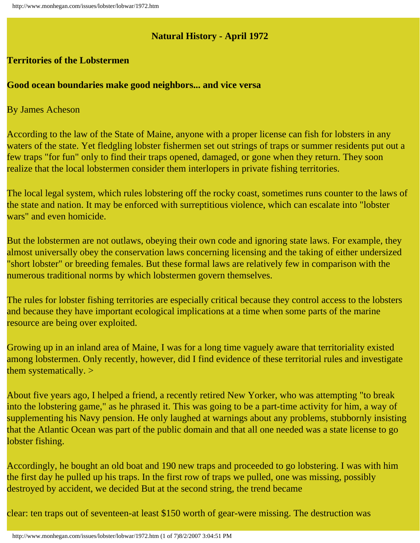## **Natural History - April 1972**

## **Territories of the Lobstermen**

## **Good ocean boundaries make good neighbors... and vice versa**

By James Acheson

According to the law of the State of Maine, anyone with a proper license can fish for lobsters in any waters of the state. Yet fledgling lobster fishermen set out strings of traps or summer residents put out a few traps "for fun" only to find their traps opened, damaged, or gone when they return. They soon realize that the local lobstermen consider them interlopers in private fishing territories.

The local legal system, which rules lobstering off the rocky coast, sometimes runs counter to the laws of the state and nation. It may be enforced with surreptitious violence, which can escalate into "lobster wars" and even homicide.

But the lobstermen are not outlaws, obeying their own code and ignoring state laws. For example, they almost universally obey the conservation laws concerning licensing and the taking of either undersized "short lobster" or breeding females. But these formal laws are relatively few in comparison with the numerous traditional norms by which lobstermen govern themselves.

The rules for lobster fishing territories are especially critical because they control access to the lobsters and because they have important ecological implications at a time when some parts of the marine resource are being over exploited.

Growing up in an inland area of Maine, I was for a long time vaguely aware that territoriality existed among lobstermen. Only recently, however, did I find evidence of these territorial rules and investigate them systematically. >

About five years ago, I helped a friend, a recently retired New Yorker, who was attempting "to break into the lobstering game," as he phrased it. This was going to be a part-time activity for him, a way of supplementing his Navy pension. He only laughed at warnings about any problems, stubbornly insisting that the Atlantic Ocean was part of the public domain and that all one needed was a state license to go lobster fishing.

Accordingly, he bought an old boat and 190 new traps and proceeded to go lobstering. I was with him the first day he pulled up his traps. In the first row of traps we pulled, one was missing, possibly destroyed by accident, we decided But at the second string, the trend became

clear: ten traps out of seventeen-at least \$150 worth of gear-were missing. The destruction was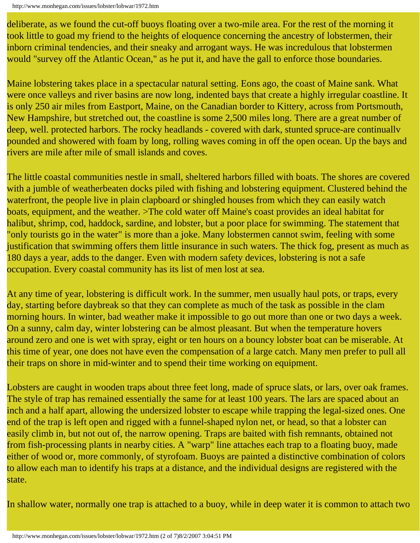```
http://www.monhegan.com/issues/lobster/lobwar/1972.htm
```
deliberate, as we found the cut-off buoys floating over a two-mile area. For the rest of the morning it took little to goad my friend to the heights of eloquence concerning the ancestry of lobstermen, their inborn criminal tendencies, and their sneaky and arrogant ways. He was incredulous that lobstermen would "survey off the Atlantic Ocean," as he put it, and have the gall to enforce those boundaries.

Maine lobstering takes place in a spectacular natural setting. Eons ago, the coast of Maine sank. What were once valleys and river basins are now long, indented bays that create a highly irregular coastline. It is only 250 air miles from Eastport, Maine, on the Canadian border to Kittery, across from Portsmouth, New Hampshire, but stretched out, the coastline is some 2,500 miles long. There are a great number of deep, well. protected harbors. The rocky headlands - covered with dark, stunted spruce-are continually pounded and showered with foam by long, rolling waves coming in off the open ocean. Up the bays and rivers are mile after mile of small islands and coves.

The little coastal communities nestle in small, sheltered harbors filled with boats. The shores are covered with a jumble of weatherbeaten docks piled with fishing and lobstering equipment. Clustered behind the waterfront, the people live in plain clapboard or shingled houses from which they can easily watch boats, equipment, and the weather. >The cold water off Maine's coast provides an ideal habitat for halibut, shrimp, cod, haddock, sardine, and lobster, but a poor place for swimming. The statement that "only tourists go in the water" is more than a joke. Many lobstermen cannot swim, feeling with some justification that swimming offers them little insurance in such waters. The thick fog, present as much as 180 days a year, adds to the danger. Even with modern safety devices, lobstering is not a safe occupation. Every coastal community has its list of men lost at sea.

At any time of year, lobstering is difficult work. In the summer, men usually haul pots, or traps, every day, starting before daybreak so that they can complete as much of the task as possible in the clam morning hours. In winter, bad weather make it impossible to go out more than one or two days a week. On a sunny, calm day, winter lobstering can be almost pleasant. But when the temperature hovers around zero and one is wet with spray, eight or ten hours on a bouncy lobster boat can be miserable. At this time of year, one does not have even the compensation of a large catch. Many men prefer to pull all their traps on shore in mid-winter and to spend their time working on equipment.

Lobsters are caught in wooden traps about three feet long, made of spruce slats, or lars, over oak frames. The style of trap has remained essentially the same for at least 100 years. The lars are spaced about an inch and a half apart, allowing the undersized lobster to escape while trapping the legal-sized ones. One end of the trap is left open and rigged with a funnel-shaped nylon net, or head, so that a lobster can easily climb in, but not out of, the narrow opening. Traps are baited with fish remnants, obtained not from fish-processing plants in nearby cities. A "warp" line attaches each trap to a floating buoy, made either of wood or, more commonly, of styrofoam. Buoys are painted a distinctive combination of colors to allow each man to identify his traps at a distance, and the individual designs are registered with the state.

In shallow water, normally one trap is attached to a buoy, while in deep water it is common to attach two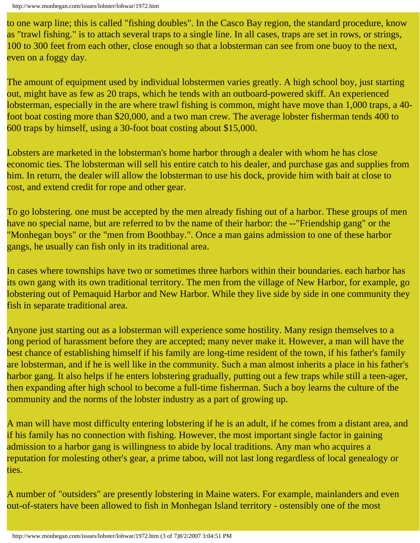to one warp line; this is called "fishing doubles". In the Casco Bay region, the standard procedure, know as "trawl fishing." is to attach several traps to a single line. In all cases, traps are set in rows, or strings, 100 to 300 feet from each other, close enough so that a lobsterman can see from one buoy to the next, even on a foggy day.

The amount of equipment used by individual lobstermen varies greatly. A high school boy, just starting out, might have as few as 20 traps, which he tends with an outboard-powered skiff. An experienced lobsterman, especially in the are where trawl fishing is common, might have move than 1,000 traps, a 40 foot boat costing more than \$20,000, and a two man crew. The average lobster fisherman tends 400 to 600 traps by himself, using a 30-foot boat costing about \$15,000.

Lobsters are marketed in the lobsterman's home harbor through a dealer with whom he has close economic ties. The lobsterman will sell his entire catch to his dealer, and purchase gas and supplies from him. In return, the dealer will allow the lobsterman to use his dock, provide him with bait at close to cost, and extend credit for rope and other gear.

To go lobstering. one must be accepted by the men already fishing out of a harbor. These groups of men have no special name, but are referred to by the name of their harbor: the --"Friendship gang" or the "Monhegan boys" or the "men from Boothbay.". Once a man gains admission to one of these harbor gangs, he usually can fish only in its traditional area.

In cases where townships have two or sometimes three harbors within their boundaries. each harbor has its own gang with its own traditional territory. The men from the village of New Harbor, for example, go lobstering out of Pemaquid Harbor and New Harbor. While they live side by side in one community they fish in separate traditional area.

Anyone just starting out as a lobsterman will experience some hostility. Many resign themselves to a long period of harassment before they are accepted; many never make it. However, a man will have the best chance of establishing himself if his family are long-time resident of the town, if his father's family are lobsterman, and if he is well like in the community. Such a man almost inherits a place in his father's harbor gang. It also helps if he enters lobstering gradually, putting out a few traps while still a teen-ager, then expanding after high school to become a full-time fisherman. Such a boy learns the culture of the community and the norms of the lobster industry as a part of growing up.

A man will have most difficulty entering lobstering if he is an adult, if he comes from a distant area, and if his family has no connection with fishing. However, the most important single factor in gaining admission to a harbor gang is willingness to abide by local traditions. Any man who acquires a reputation for molesting other's gear, a prime taboo, will not last long regardless of local genealogy or ties.

A number of "outsiders" are presently lobstering in Maine waters. For example, mainlanders and even out-of-staters have been allowed to fish in Monhegan Island territory - ostensibly one of the most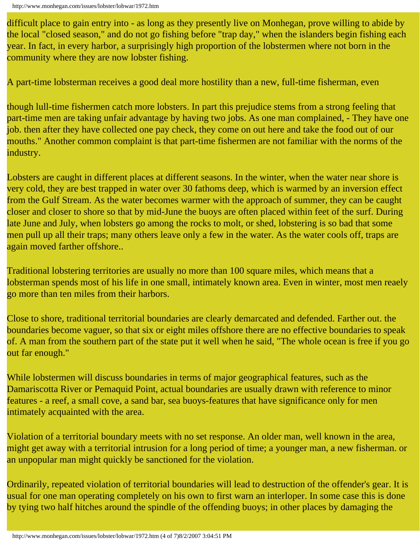difficult place to gain entry into - as long as they presently live on Monhegan, prove willing to abide by the local "closed season," and do not go fishing before "trap day," when the islanders begin fishing each year. In fact, in every harbor, a surprisingly high proportion of the lobstermen where not born in the community where they are now lobster fishing.

A part-time lobsterman receives a good deal more hostility than a new, full-time fisherman, even

though lull-time fishermen catch more lobsters. In part this prejudice stems from a strong feeling that part-time men are taking unfair advantage by having two jobs. As one man complained, - They have one job. then after they have collected one pay check, they come on out here and take the food out of our mouths." Another common complaint is that part-time fishermen are not familiar with the norms of the industry.

Lobsters are caught in different places at different seasons. In the winter, when the water near shore is very cold, they are best trapped in water over 30 fathoms deep, which is warmed by an inversion effect from the Gulf Stream. As the water becomes warmer with the approach of summer, they can be caught closer and closer to shore so that by mid-June the buoys are often placed within feet of the surf. During late June and July, when lobsters go among the rocks to molt, or shed, lobstering is so bad that some men pull up all their traps; many others leave only a few in the water. As the water cools off, traps are again moved farther offshore..

Traditional lobstering territories are usually no more than 100 square miles, which means that a lobsterman spends most of his life in one small, intimately known area. Even in winter, most men reaely go more than ten miles from their harbors.

Close to shore, traditional territorial boundaries are clearly demarcated and defended. Farther out. the boundaries become vaguer, so that six or eight miles offshore there are no effective boundaries to speak of. A man from the southern part of the state put it well when he said, "The whole ocean is free if you go out far enough."

While lobstermen will discuss boundaries in terms of major geographical features, such as the Damariscotta River or Pemaquid Point, actual boundaries are usually drawn with reference to minor features - a reef, a small cove, a sand bar, sea buoys-features that have significance only for men intimately acquainted with the area.

Violation of a territorial boundary meets with no set response. An older man, well known in the area, might get away with a territorial intrusion for a long period of time; a younger man, a new fisherman. or an unpopular man might quickly be sanctioned for the violation.

Ordinarily, repeated violation of territorial boundaries will lead to destruction of the offender's gear. It is usual for one man operating completely on his own to first warn an interloper. In some case this is done by tying two half hitches around the spindle of the offending buoys; in other places by damaging the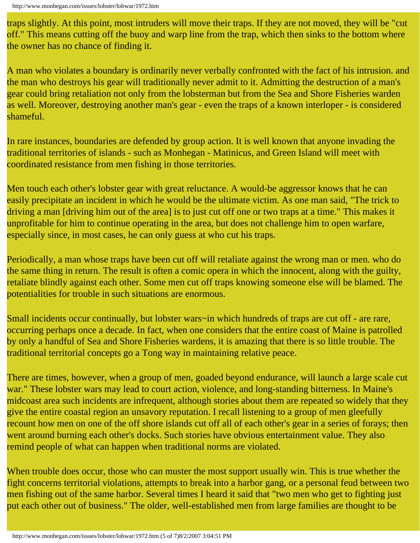traps slightly. At this point, most intruders will move their traps. If they are not moved, they will be "cut off." This means cutting off the buoy and warp line from the trap, which then sinks to the bottom where the owner has no chance of finding it.

A man who violates a boundary is ordinarily never verbally confronted with the fact of his intrusion. and the man who destroys his gear will traditionally never admit to it. Admitting the destruction of a man's gear could bring retaliation not only from the lobsterman but from the Sea and Shore Fisheries warden as well. Moreover, destroying another man's gear - even the traps of a known interloper - is considered shameful.

In rare instances, boundaries are defended by group action. It is well known that anyone invading the traditional territories of islands - such as Monhegan - Matinicus, and Green Island will meet with coordinated resistance from men fishing in those territories.

Men touch each other's lobster gear with great reluctance. A would-be aggressor knows that he can easily precipitate an incident in which he would be the ultimate victim. As one man said, "The trick to driving a man *[driving him out of the area]* is to just cut off one or two traps at a time." This makes it unprofitable for him to continue operating in the area, but does not challenge him to open warfare, especially since, in most cases, he can only guess at who cut his traps.

Periodically, a man whose traps have been cut off will retaliate against the wrong man or men. who do the same thing in return. The result is often a comic opera in which the innocent, along with the guilty, retaliate blindly against each other. Some men cut off traps knowing someone else will be blamed. The potentialities for trouble in such situations are enormous.

Small incidents occur continually, but lobster wars~in which hundreds of traps are cut off - are rare, occurring perhaps once a decade. In fact, when one considers that the entire coast of Maine is patrolled by only a handful of Sea and Shore Fisheries wardens, it is amazing that there is so little trouble. The traditional territorial concepts go a Tong way in maintaining relative peace.

There are times, however, when a group of men, goaded beyond endurance, will launch a large scale cut war." These lobster wars may lead to court action, violence, and long-standing bitterness. In Maine's midcoast area such incidents are infrequent, although stories about them are repeated so widely that they give the entire coastal region an unsavory reputation. I recall listening to a group of men gleefully recount how men on one of the off shore islands cut off all of each other's gear in a series of forays; then went around burning each other's docks. Such stories have obvious entertainment value. They also remind people of what can happen when traditional norms are violated.

When trouble does occur, those who can muster the most support usually win. This is true whether the fight concerns territorial violations, attempts to break into a harbor gang, or a personal feud between two men fishing out of the same harbor. Several times I heard it said that "two men who get to fighting just put each other out of business." The older, well-established men from large families are thought to be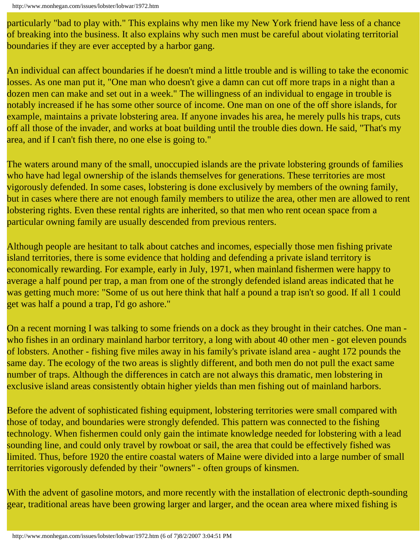particularly "bad to play with." This explains why men like my New York friend have less of a chance of breaking into the business. It also explains why such men must be careful about violating territorial boundaries if they are ever accepted by a harbor gang.

An individual can affect boundaries if he doesn't mind a little trouble and is willing to take the economic losses. As one man put it, "One man who doesn't give a damn can cut off more traps in a night than a dozen men can make and set out in a week." The willingness of an individual to engage in trouble is notably increased if he has some other source of income. One man on one of the off shore islands, for example, maintains a private lobstering area. If anyone invades his area, he merely pulls his traps, cuts off all those of the invader, and works at boat building until the trouble dies down. He said, "That's my area, and if I can't fish there, no one else is going to."

The waters around many of the small, unoccupied islands are the private lobstering grounds of families who have had legal ownership of the islands themselves for generations. These territories are most vigorously defended. In some cases, lobstering is done exclusively by members of the owning family, but in cases where there are not enough family members to utilize the area, other men are allowed to rent lobstering rights. Even these rental rights are inherited, so that men who rent ocean space from a particular owning family are usually descended from previous renters.

Although people are hesitant to talk about catches and incomes, especially those men fishing private island territories, there is some evidence that holding and defending a private island territory is economically rewarding. For example, early in July, 1971, when mainland fishermen were happy to average a half pound per trap, a man from one of the strongly defended island areas indicated that he was getting much more: "Some of us out here think that half a pound a trap isn't so good. If all 1 could get was half a pound a trap, I'd go ashore."

On a recent morning I was talking to some friends on a dock as they brought in their catches. One man who fishes in an ordinary mainland harbor territory, a long with about 40 other men - got eleven pounds of lobsters. Another - fishing five miles away in his family's private island area - aught 172 pounds the same day. The ecology of the two areas is slightly different, and both men do not pull the exact same number of traps. Although the differences in catch are not always this dramatic, men lobstering in exclusive island areas consistently obtain higher yields than men fishing out of mainland harbors.

Before the advent of sophisticated fishing equipment, lobstering territories were small compared with those of today, and boundaries were strongly defended. This pattern was connected to the fishing technology. When fishermen could only gain the intimate knowledge needed for lobstering with a lead sounding line, and could only travel by rowboat or sail, the area that could be effectively fished was limited. Thus, before 1920 the entire coastal waters of Maine were divided into a large number of small territories vigorously defended by their "owners" - often groups of kinsmen.

With the advent of gasoline motors, and more recently with the installation of electronic depth-sounding gear, traditional areas have been growing larger and larger, and the ocean area where mixed fishing is